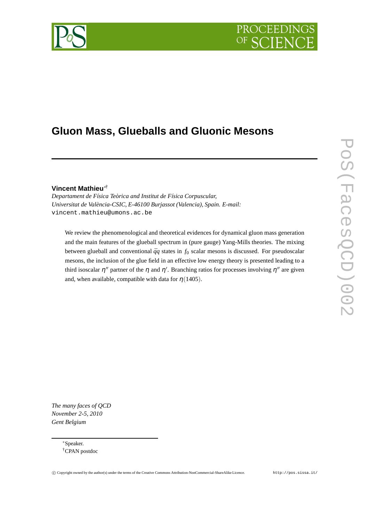# PROCEEDIN



# **Gluon Mass, Glueballs and Gluonic Mesons**

# **Vincent Mathieu**∗†

*Departament de Física Teòrica and Institut de Física Corpuscular, Universitat de València-CSIC, E-46100 Burjassot (Valencia), Spain. E-mail:* vincent.mathieu@umons.ac.be

We review the phenomenological and theoretical evidences for dynamical gluon mass generation and the main features of the glueball spectrum in (pure gauge) Yang-Mills theories. The mixing between glueball and conventional  $\bar{q}q$  states in  $f_0$  scalar mesons is discussed. For pseudoscalar mesons, the inclusion of the glue field in an effective low energy theory is presented leading to a third isoscalar  $\eta''$  partner of the  $\eta$  and  $\eta'$ . Branching ratios for processes involving  $\eta''$  are given and, when available, compatible with data for  $\eta$  (1405).

*The many faces of QCD November 2-5, 2010 Gent Belgium*

> ∗Speaker. †CPAN postdoc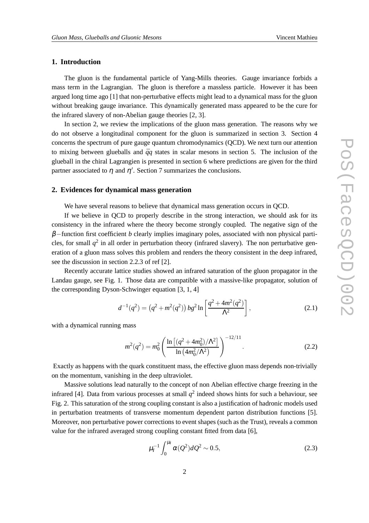# **1. Introduction**

The gluon is the fundamental particle of Yang-Mills theories. Gauge invariance forbids a mass term in the Lagrangian. The gluon is therefore a massless particle. However it has been argued long time ago [1] that non-perturbative effects might lead to a dynamical mass for the gluon without breaking gauge invariance. This dynamically generated mass appeared to be the cure for the infrared slavery of non-Abelian gauge theories [2, 3].

In section 2, we review the implications of the gluon mass generation. The reasons why we do not observe a longitudinal component for the gluon is summarized in section 3. Section 4 concerns the spectrum of pure gauge quantum chromodynamics (QCD). We next turn our attention to mixing between glueballs and  $\bar{q}q$  states in scalar mesons in section 5. The inclusion of the glueball in the chiral Lagrangien is presented in section 6 where predictions are given for the third partner associated to  $\eta$  and  $\eta'$ . Section 7 summarizes the conclusions.

#### **2. Evidences for dynamical mass generation**

We have several reasons to believe that dynamical mass generation occurs in QCD.

If we believe in QCD to properly describe in the strong interaction, we should ask for its consistency in the infrared where the theory become strongly coupled. The negative sign of the β−function first coefficient *b* clearly implies imaginary poles, associated with non physical particles, for small  $q^2$  in all order in perturbation theory (infrared slavery). The non perturbative generation of a gluon mass solves this problem and renders the theory consistent in the deep infrared, see the discussion in section 2.2.3 of ref [2].

Recently accurate lattice studies showed an infrared saturation of the gluon propagator in the Landau gauge, see Fig. 1. Those data are compatible with a massive-like propagator, solution of the corresponding Dyson-Schwinger equation [3, 1, 4]

$$
d^{-1}(q^2) = (q^2 + m^2(q^2)) bg^2 \ln\left[\frac{q^2 + 4m^2(q^2)}{\Lambda^2}\right],
$$
 (2.1)

with a dynamical running mass

$$
m^{2}(q^{2}) = m_{0}^{2} \left( \frac{\ln \left[ (q^{2} + 4m_{0}^{2})/\Lambda^{2} \right]}{\ln \left( 4m_{0}^{2}/\Lambda^{2} \right)} \right)^{-12/11}.
$$
 (2.2)

Exactly as happens with the quark constituent mass, the effective gluon mass depends non-trivially on the momentum, vanishing in the deep ultraviolet.

Massive solutions lead naturally to the concept of non Abelian effective charge freezing in the infrared [4]. Data from various processes at small  $q^2$  indeed shows hints for such a behaviour, see Fig. 2. This saturation of the strong coupling constant is also a justification of hadronic models used in perturbation treatments of transverse momentum dependent parton distribution functions [5]. Moreover, non perturbative power corrections to event shapes (such as the Trust), reveals a common value for the infrared averaged strong coupling constant fitted from data [6],

$$
\mu_I^{-1} \int_0^{\mu_I} \alpha(Q^2) dQ^2 \sim 0.5,
$$
\n(2.3)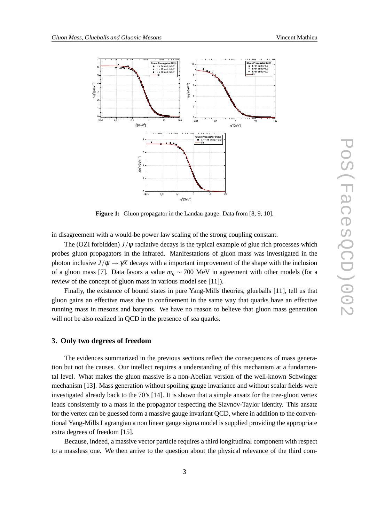

**Figure 1:** Gluon propagator in the Landau gauge. Data from [8, 9, 10].

in disagreement with a would-be power law scaling of the strong coupling constant.

The (OZI forbidden)  $J/\psi$  radiative decays is the typical example of glue rich processes which probes gluon propagators in the infrared. Manifestations of gluon mass was investigated in the photon inclusive  $J/\psi \rightarrow \gamma X$  decays with a important improvement of the shape with the inclusion of a gluon mass [7]. Data favors a value  $m_g \sim 700$  MeV in agreement with other models (for a review of the concept of gluon mass in various model see [11]).

Finally, the existence of bound states in pure Yang-Mills theories, glueballs [11], tell us that gluon gains an effective mass due to confinement in the same way that quarks have an effective running mass in mesons and baryons. We have no reason to believe that gluon mass generation will not be also realized in OCD in the presence of sea quarks.

#### **3. Only two degrees of freedom**

The evidences summarized in the previous sections reflect the consequences of mass generation but not the causes. Our intellect requires a understanding of this mechanism at a fundamental level. What makes the gluon massive is a non-Abelian version of the well-known Schwinger mechanism [13]. Mass generation without spoiling gauge invariance and without scalar fields were investigated already back to the 70's [14]. It is shown that a simple ansatz for the tree-gluon vertex leads consistently to a mass in the propagator respecting the Slavnov-Taylor identity. This ansatz for the vertex can be guessed form a massive gauge invariant QCD, where in addition to the conventional Yang-Mills Lagrangian a non linear gauge sigma model is supplied providing the appropriate extra degrees of freedom [15].

Because, indeed, a massive vector particle requires a third longitudinal component with respect to a massless one. We then arrive to the question about the physical relevance of the third com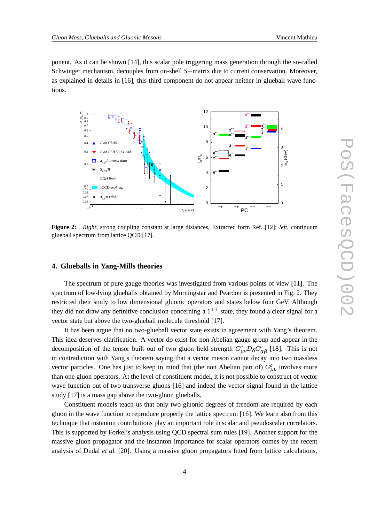ponent. As it can be shown [14], this scalar pole triggering mass generation through the so-called Schwinger mechanism, decouples from on-shell *S*−matrix due to current conservation. Moreover, as explained in details in [16], this third component do not appear neither in glueball wave functions.



**Figure 2:** *Right,* strong coupling constant at large distances, Extracted form Ref. [12]; *left,* continuum glueball spectrum from lattice QCD [17].

#### **4. Glueballs in Yang-Mills theories**

The spectrum of pure gauge theories was investigated from various points of view [11]. The spectrum of low-lying glueballs obtained by Morningstar and Peardon is presented in Fig. 2. They restricted their study to low dimensional gluonic operators and states below four GeV. Although they did not draw any definitive conclusion concerning a  $1^{++}$  state, they found a clear signal for a vector state but above the two-glueball molecule threshold [17].

It has been argue that no two-glueball vector state exists in agreement with Yang's theorem. This idea deserves clarification. A vector do exist for non Abelian gauge group and appear in the decomposition of the tensor built out of two gluon field strength  $G^a_{\mu\nu}D_\delta G^a_{\alpha\beta}$  [18]. This is not in contradiction with Yang's theorem saying that a vector meson cannot decay into two massless vector particles. One has just to keep in mind that (the non Abelian part of)  $G_{\mu\nu}^a$  involves more than one gluon operators. At the level of constituent model, it is not possible to construct of vector wave function out of two transverse gluons [16] and indeed the vector signal found in the lattice study [17] is a mass gap above the two-gluon glueballs.

Constituent models teach us that only two gluonic degrees of freedom are required by each gluon in the wave function to reproduce properly the lattice spectrum [16]. We learn also from this technique that instanton contributions play an important role in scalar and pseudoscalar correlators. This is supported by Forkel's analysis using QCD spectral sum rules [19]. Another support for the massive gluon propagator and the instanton importance for scalar operators comes by the recent analysis of Dudal *et al.* [20]. Using a massive gluon propagators fitted from lattice calculations,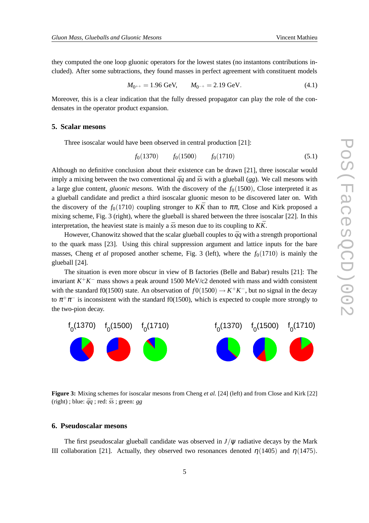they computed the one loop gluonic operators for the lowest states (no instantons contributions included). After some subtractions, they found masses in perfect agreement with constituent models

$$
M_{0^{++}} = 1.96 \text{ GeV}, \qquad M_{0^{-+}} = 2.19 \text{ GeV}. \tag{4.1}
$$

Moreover, this is a clear indication that the fully dressed propagator can play the role of the condensates in the operator product expansion.

#### **5. Scalar mesons**

Three isoscalar would have been observed in central production [21]:

$$
f_0(1370) \qquad f_0(1500) \qquad f_0(1710) \tag{5.1}
$$

Although no definitive conclusion about their existence can be drawn [21], three isoscalar would imply a mixing between the two conventional  $\bar{q}q$  and  $\bar{s}s$  with a glueball (*gg*). We call mesons with a large glue content, *gluonic mesons*. With the discovery of the  $f<sub>0</sub>(1500)$ , Close interpreted it as a glueball candidate and predict a third isoscalar gluonic meson to be discovered later on. With the discovery of the  $f_0(1710)$  coupling stronger to  $K\overline{K}$  than to  $\pi\pi$ , Close and Kirk proposed a mixing scheme, Fig. 3 (right), where the glueball is shared between the three isoscalar [22]. In this interpretation, the heaviest state is mainly a  $\bar{s}s$  meson due to its coupling to  $K\bar{K}$ .

However, Chanowitz showed that the scalar glueball couples to  $\bar{q}q$  with a strength proportional to the quark mass [23]. Using this chiral suppression argument and lattice inputs for the bare masses, Cheng *et al* proposed another scheme, Fig. 3 (left), where the  $f<sub>0</sub>(1710)$  is mainly the glueball [24].

The situation is even more obscur in view of B factories (Belle and Babar) results [21]: The invariant *K* <sup>+</sup>*K* − mass shows a peak around 1500 MeV/c2 denoted with mass and width consistent with the standard f0(1500) state. An observation of  $f0(1500) \rightarrow K^+K^-$ , but no signal in the decay to  $\pi^+\pi^-$  is inconsistent with the standard f0(1500), which is expected to couple more strongly to the two-pion decay.

f<sub>0</sub>(1370) f<sub>0</sub>(1500) f<sub>0</sub>(1710) f <sub>0</sub>(1370) f  $\int_0^1 (1500)$  f <sub>0</sub>(1710)

**Figure 3:** Mixing schemes for isoscalar mesons from Cheng *et al.* [24] (left) and from Close and Kirk [22] (right); blue:  $\bar{q}q$ ; red:  $\bar{s}s$ ; green: *gg* 

#### **6. Pseudoscalar mesons**

The first pseudoscalar glueball candidate was observed in  $J/\psi$  radiative decays by the Mark III collaboration [21]. Actually, they observed two resonances denoted  $η(1405)$  and  $η(1475)$ .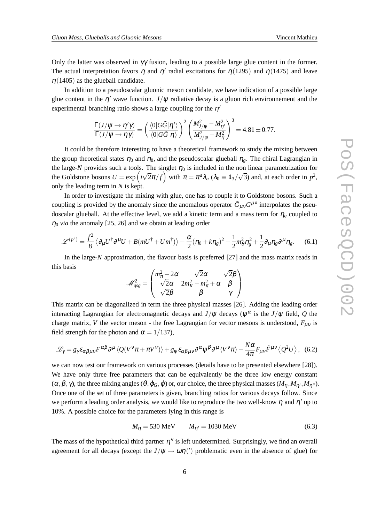Only the latter was observed in  $\gamma\gamma$  fusion, leading to a possible large glue content in the former. The actual interpretation favors  $\eta$  and  $\eta'$  radial excitations for  $\eta(1295)$  and  $\eta(1475)$  and leave  $\eta$ (1405) as the glueball candidate.

In addition to a pseudoscalar gluonic meson candidate, we have indication of a possible large glue content in the  $\eta'$  wave function.  $J/\psi$  radiative decay is a gluon rich environnement and the experimental branching ratio shows a large coupling for the  $\eta'$ 

$$
\frac{\Gamma(J/\psi\to\eta'\gamma)}{\Gamma(J/\psi\to\eta\gamma)}=\left(\frac{\langle 0|G\tilde{G}|\eta'\rangle}{\langle 0|G\tilde{G}|\eta\rangle}\right)^2\left(\frac{M_{J/\psi}^2-M_{\eta'}^2}{M_{J/\psi}^2-M_{\eta}^2}\right)^3=4.81\pm0.77.
$$

It could be therefore interesting to have a theoretical framework to study the mixing between the group theoretical states  $\eta_0$  and  $\eta_8$ , and the pseudoscalar glueball  $\eta_g$ . The chiral Lagrangian in the large- $N$  provides such a tools. The singlet  $\eta_0$  is included in the non linear parametrization for the Goldstone bosons  $U = \exp(i\sqrt{2}\pi/f)$  with  $\pi = \pi^a \lambda_a$  ( $\lambda_0 \equiv 1_3/\sqrt{3}$ ) and, at each order in  $p^2$ , only the leading term in *N* is kept.

In order to investigate the mixing with glue, one has to couple it to Goldstone bosons. Such a coupling is provided by the anomaly since the anomalous operator  $\tilde{G}_{\mu\nu}G^{\mu\nu}$  interpolates the pseudoscalar glueball. At the effective level, we add a kinetic term and a mass term for  $\eta_g$  coupled to  $\eta_0$  *via* the anomaly [25, 26] and we obtain at leading order

$$
\mathscr{L}^{(p^2)} = \frac{f^2}{8} \left\langle \partial_\mu U^\dagger \partial^\mu U + B(mU^\dagger + Um^\dagger) \right\rangle - \frac{\alpha}{2} (\eta_0 + k\eta_g)^2 - \frac{1}{2} m_\theta^2 \eta_g^2 + \frac{1}{2} \partial_\mu \eta_g \partial^\mu \eta_g. \tag{6.1}
$$

In the large-*N* approximation, the flavour basis is preferred [27] and the mass matrix reads in this basis

$$
\mathscr{M}_{qsg}^2 = \begin{pmatrix} m_{\pi}^2 + 2\alpha & \sqrt{2}\alpha & \sqrt{2}\beta \\ \sqrt{2}\alpha & 2m_K^2 - m_{\pi}^2 + \alpha & \beta \\ \sqrt{2}\beta & \beta & \gamma \end{pmatrix}
$$

This matrix can be diagonalized in term the three physical masses [26]. Adding the leading order interacting Lagrangian for electromagnetic decays and  $J/\psi$  decays ( $\psi^\alpha$  is the  $J/\psi$  field,  $Q$  the charge matrix, *V* the vector meson - the free Lagrangian for vector mesons is understood,  $F_{\mu\nu}$  is field strength for the photon and  $\alpha = 1/137$ ,

$$
\mathcal{L}_{\gamma} = g_{\gamma} \varepsilon_{\alpha\beta\mu\nu} F^{\alpha\beta} \partial^{\mu} \langle Q(V^{\nu}\pi + \pi V^{\nu}) \rangle + g_{\psi} \varepsilon_{\alpha\beta\mu\nu} \partial^{\alpha} \psi^{\beta} \partial^{\mu} \langle V^{\nu}\pi \rangle - \frac{N\alpha}{4\pi} F_{\mu\nu} \tilde{F}^{\mu\nu} \langle Q^2 U \rangle, \tag{6.2}
$$

we can now test our framework on various processes (details have to be presented elsewhere [28]). We have only three free parameters that can be equivalently be the three low energy constant  $(\alpha, \beta, \gamma)$ , the three mixing angles  $(\theta, \varphi_G, \varphi)$  or, our choice, the three physical masses  $(M_n, M_{n'}, M_{n''})$ . Once one of the set of three parameters is given, branching ratios for various decays follow. Since we perform a leading order analysis, we would like to reproduce the two well-know  $\eta$  and  $\eta'$  up to 10%. A possible choice for the parameters lying in this range is

$$
M_{\eta} = 530 \text{ MeV} \qquad M_{\eta'} = 1030 \text{ MeV} \tag{6.3}
$$

The mass of the hypothetical third partner  $\eta''$  is left undetermined. Surprisingly, we find an overall agreement for all decays (except the  $J/\psi \to \omega \eta(')$  problematic even in the absence of glue) for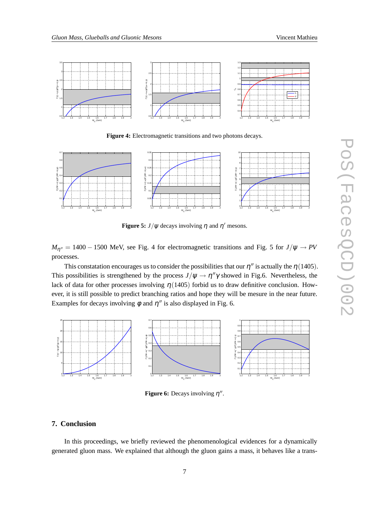

**Figure 4:** Electromagnetic transitions and two photons decays.



**Figure 5:**  $J/\psi$  decays involving  $\eta$  and  $\eta'$  mesons.

 $M_{\eta''}$  = 1400 – 1500 MeV, see Fig. 4 for electromagnetic transitions and Fig. 5 for  $J/\psi \rightarrow PV$ processes.

This constatation encourages us to consider the possibilities that our  $\eta''$  is actually the  $\eta(1405)$ . This possibilities is strengthened by the process  $J/\psi \to \eta'' \gamma$  showed in Fig.6. Nevertheless, the lack of data for other processes involving  $\eta$ (1405) forbid us to draw definitive conclusion. However, it is still possible to predict branching ratios and hope they will be mesure in the near future. Examples for decays involving  $\phi$  and  $\eta''$  is also displayed in Fig. 6.



**Figure 6:** Decays involving  $\eta''$ .

# **7. Conclusion**

In this proceedings, we briefly reviewed the phenomenological evidences for a dynamically generated gluon mass. We explained that although the gluon gains a mass, it behaves like a trans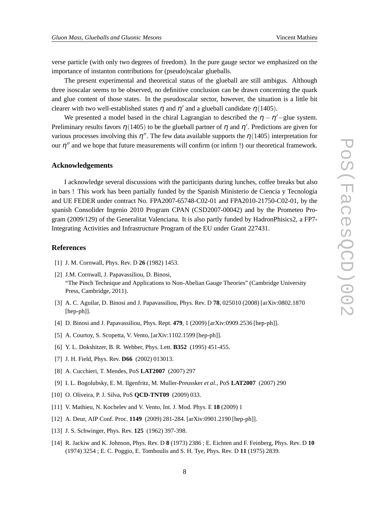verse particle (with only two degrees of freedom). In the pure gauge sector we emphasized on the importance of instanton contributions for (pseudo)scalar glueballs.

The present experimental and theoretical status of the glueball are still ambigus. Although three isoscalar seems to be observed, no definitive conclusion can be drawn concerning the quark and glue content of those states. In the pseudoscalar sector, however, the situation is a little bit clearer with two well-established states  $\eta$  and  $\eta'$  and a glueball candidate  $\eta(1405)$ .

We presented a model based in the chiral Lagrangian to described the  $\eta - \eta'$ -glue system. Preliminary results favors  $\eta$  (1405) to be the glueball partner of  $\eta$  and  $\eta'$ . Predictions are given for various processes involving this  $\eta''$ . The few data available supports the  $\eta(1405)$  interpretation for our  $\eta''$  and we hope that future measurements will confirm (or infirm !) our theoretical framework.

#### **Acknowledgements**

I acknowledge several discussions with the participants during lunches, coffee breaks but also in bars ! This work has been partially funded by the Spanish Ministerio de Ciencia y Tecnología and UE FEDER under contract No. FPA2007-65748-C02-01 and FPA2010-21750-C02-01, by the spanish Consolider Ingenio 2010 Program CPAN (CSD2007-00042) and by the Prometeo Program (2009/129) of the Generalitat Valenciana. It is also partly funded by HadronPhisics2, a FP7- Integrating Activities and Infrastructure Program of the EU under Grant 227431.

## **References**

- [1] J. M. Cornwall, Phys. Rev. D **26** (1982) 1453.
- [2] J.M. Cornwall, J. Papavassiliou, D. Binosi, "The Pinch Technique and Applications to Non-Abelian Gauge Theories" (Cambridge University Press, Cambridge, 2011).
- [3] A. C. Aguilar, D. Binosi and J. Papavassiliou, Phys. Rev. D **78**, 025010 (2008) [arXiv:0802.1870 [hep-ph]].
- [4] D. Binosi and J. Papavassiliou, Phys. Rept. **479**, 1 (2009) [arXiv:0909.2536 [hep-ph]].
- [5] A. Courtoy, S. Scopetta, V. Vento, [arXiv:1102.1599 [hep-ph]].
- [6] Y. L. Dokshitzer, B. R. Webber, Phys. Lett. **B352** (1995) 451-455.
- [7] J. H. Field, Phys. Rev. **D66** (2002) 013013.
- [8] A. Cucchieri, T. Mendes, PoS **LAT2007** (2007) 297
- [9] I. L. Bogolubsky, E. M. Ilgenfritz, M. Muller-Preussker *et al.*, PoS **LAT2007** (2007) 290
- [10] O. Oliveira, P. J. Silva, PoS **QCD-TNT09** (2009) 033.
- [11] V. Mathieu, N. Kochelev and V. Vento, Int. J. Mod. Phys. E **18** (2009) 1
- [12] A. Deur, AIP Conf. Proc. **1149** (2009) 281-284. [arXiv:0901.2190 [hep-ph]].
- [13] J. S. Schwinger, Phys. Rev. **125** (1962) 397-398.
- [14] R. Jackiw and K. Johnson, Phys. Rev. D **8** (1973) 2386 ; E. Eichten and F. Feinberg, Phys. Rev. D **10** (1974) 3254 ; E. C. Poggio, E. Tomboulis and S. H. Tye, Phys. Rev. D **11** (1975) 2839.